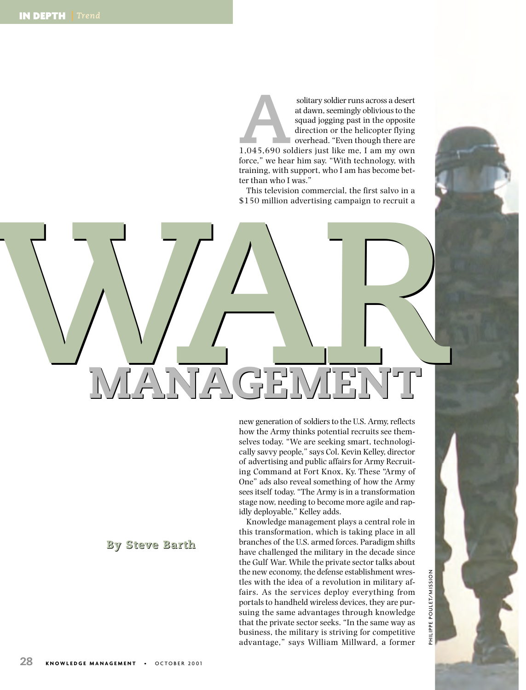solitary soldier runs across a desert<br>
at dawn, seemingly oblivious to the<br>
squad jogging past in the opposite<br>
direction or the helicopter flying<br>
overhead. "Even though there are<br>
1,045,690 soldiers just like me, I am my at dawn, seemingly oblivious to the squad jogging past in the opposite direction or the helicopter flying overhead. "Even though there are force," we hear him say. "With technology, with training, with support, who I am has become better than who I was."

This television commercial, the first salvo in a \$150 million advertising campaign to recruit a

**WAR WAR MANAGEMENT MANAGEMENT**

new generation of soldiers to the U.S. Army, reflects how the Army thinks potential recruits see themselves today. "We are seeking smart, technologically savvy people," says Col. Kevin Kelley, director of advertising and public affairs for Army Recruiting Command at Fort Knox, Ky. These "Army of One" ads also reveal something of how the Army sees itself today. "The Army is in a transformation stage now, needing to become more agile and rapidly deployable," Kelley adds.

Knowledge management plays a central role in this transformation, which is taking place in all branches of the U.S. armed forces. Paradigm shifts have challenged the military in the decade since the Gulf War. While the private sector talks about the new economy, the defense establishment wrestles with the idea of a revolution in military affairs. As the services deploy everything from portals to handheld wireless devices, they are pursuing the same advantages through knowledge that the private sector seeks. "In the same way as business, the military is striving for competitive advantage," says William Millward, a former

# **By Steve Barth**

POULET/MISSION PHILIPPE POULET/MISSION

PHILIPPE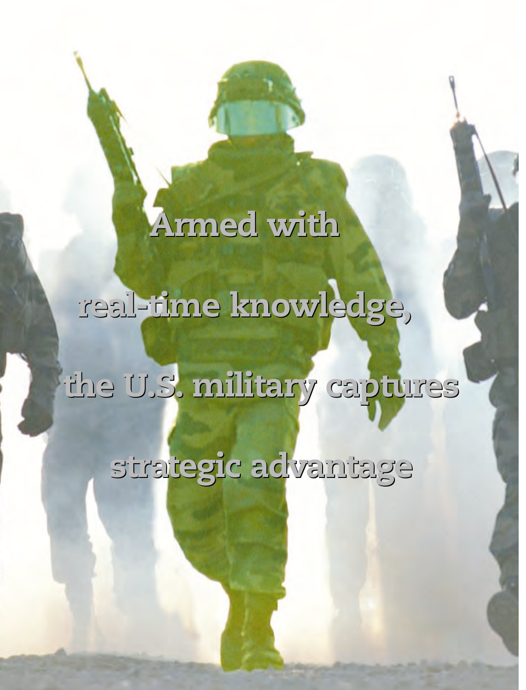# **Armed with Armed with**

**real-time knowledge, real-time knowledge,**

**the U.S. military captures the U.S. military captures**

**strategic advantage strategic advantage**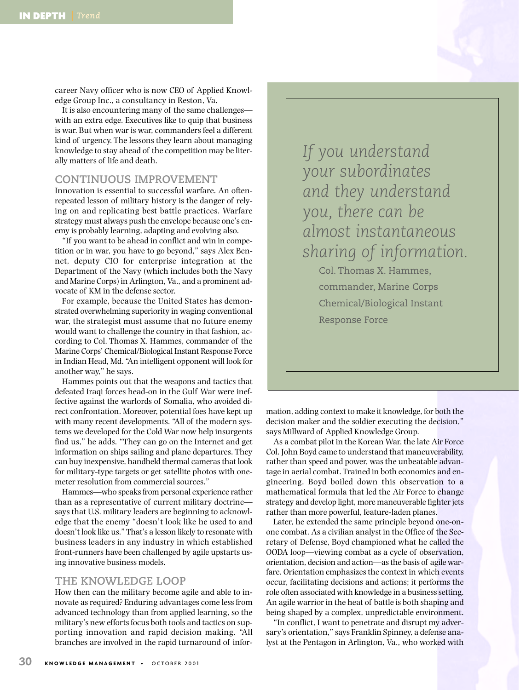career Navy officer who is now CEO of Applied Knowledge Group Inc., a consultancy in Reston, Va.

It is also encountering many of the same challenges with an extra edge. Executives like to quip that business is war. But when war is war, commanders feel a different kind of urgency. The lessons they learn about managing knowledge to stay ahead of the competition may be literally matters of life and death.

## **CONTINUOUS IMPROVEMENT**

Innovation is essential to successful warfare. An oftenrepeated lesson of military history is the danger of relying on and replicating best battle practices. Warfare strategy must always push the envelope because one's enemy is probably learning, adapting and evolving also.

"If you want to be ahead in conflict and win in competition or in war, you have to go beyond," says Alex Bennet, deputy CIO for enterprise integration at the Department of the Navy (which includes both the Navy and Marine Corps) in Arlington, Va., and a prominent advocate of KM in the defense sector.

For example, because the United States has demonstrated overwhelming superiority in waging conventional war, the strategist must assume that no future enemy would want to challenge the country in that fashion, according to Col. Thomas X. Hammes, commander of the Marine Corps' Chemical/Biological Instant Response Force in Indian Head, Md. "An intelligent opponent will look for another way," he says.

Hammes points out that the weapons and tactics that defeated Iraqi forces head-on in the Gulf War were ineffective against the warlords of Somalia, who avoided direct confrontation. Moreover, potential foes have kept up with many recent developments. "All of the modern systems we developed for the Cold War now help insurgents find us," he adds. "They can go on the Internet and get information on ships sailing and plane departures. They can buy inexpensive, handheld thermal cameras that look for military-type targets or get satellite photos with onemeter resolution from commercial sources."

Hammes—who speaks from personal experience rather than as a representative of current military doctrine says that U.S. military leaders are beginning to acknowledge that the enemy "doesn't look like he used to and doesn't look like us." That's a lesson likely to resonate with business leaders in any industry in which established front-runners have been challenged by agile upstarts using innovative business models.

#### **THE KNOWLEDGE LOOP**

How then can the military become agile and able to innovate as required? Enduring advantages come less from advanced technology than from applied learning, so the military's new efforts focus both tools and tactics on supporting innovation and rapid decision making. "All branches are involved in the rapid turnaround of infor-

*If you understand your subordinates and they understand you, there can be almost instantaneous sharing of information.* Col. Thomas X. Hammes,

> commander, Marine Corps Chemical/Biological Instant Response Force

mation, adding context to make it knowledge, for both the decision maker and the soldier executing the decision," says Millward of Applied Knowledge Group.

As a combat pilot in the Korean War, the late Air Force Col. John Boyd came to understand that maneuverability, rather than speed and power, was the unbeatable advantage in aerial combat. Trained in both economics and engineering, Boyd boiled down this observation to a mathematical formula that led the Air Force to change strategy and develop light, more maneuverable fighter jets rather than more powerful, feature-laden planes.

Later, he extended the same principle beyond one-onone combat. As a civilian analyst in the Office of the Secretary of Defense, Boyd championed what he called the OODA loop—viewing combat as a cycle of observation, orientation, decision and action—as the basis of agile warfare. Orientation emphasizes the context in which events occur, facilitating decisions and actions; it performs the role often associated with knowledge in a business setting. An agile warrior in the heat of battle is both shaping and being shaped by a complex, unpredictable environment.

"In conflict, I want to penetrate and disrupt my adversary's orientation," says Franklin Spinney, a defense analyst at the Pentagon in Arlington, Va., who worked with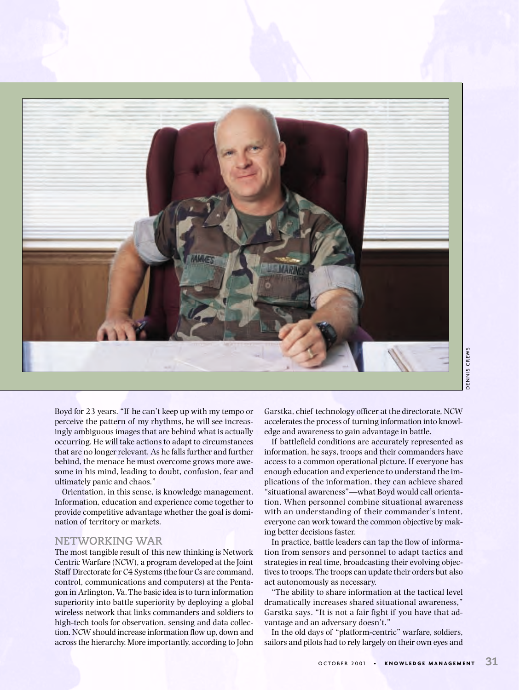

Boyd for 23 years. "If he can't keep up with my tempo or perceive the pattern of my rhythms, he will see increasingly ambiguous images that are behind what is actually occurring. He will take actions to adapt to circumstances that are no longer relevant. As he falls further and further behind, the menace he must overcome grows more awesome in his mind, leading to doubt, confusion, fear and ultimately panic and chaos."

Orientation, in this sense, is knowledge management. Information, education and experience come together to provide competitive advantage whether the goal is domination of territory or markets.

### **NETWORKING WAR**

The most tangible result of this new thinking is Network Centric Warfare (NCW), a program developed at the Joint Staff Directorate for C4 Systems (the four Cs are command, control, communications and computers) at the Pentagon in Arlington, Va. The basic idea is to turn information superiority into battle superiority by deploying a global wireless network that links commanders and soldiers to high-tech tools for observation, sensing and data collection. NCW should increase information flow up, down and across the hierarchy. More importantly, according to John Garstka, chief technology officer at the directorate, NCW accelerates the process of turning information into knowledge and awareness to gain advantage in battle.

If battlefield conditions are accurately represented as information, he says, troops and their commanders have access to a common operational picture. If everyone has enough education and experience to understand the implications of the information, they can achieve shared "situational awareness"—what Boyd would call orientation. When personnel combine situational awareness with an understanding of their commander's intent, everyone can work toward the common objective by making better decisions faster. **Example 12 Example 12 Example 12 Example 12 Example 12 Example 12 Example 12 Example 12 Example 12 Example 12 Example 12 Example 12 Example 12 Example 12 Example 12 Example 12 Example 12**

In practice, battle leaders can tap the flow of information from sensors and personnel to adapt tactics and strategies in real time, broadcasting their evolving objectives to troops. The troops can update their orders but also act autonomously as necessary.

"The ability to share information at the tactical level dramatically increases shared situational awareness," Garstka says. "It is not a fair fight if you have that advantage and an adversary doesn't."

In the old days of "platform-centric" warfare, soldiers, sailors and pilots had to rely largely on their own eyes and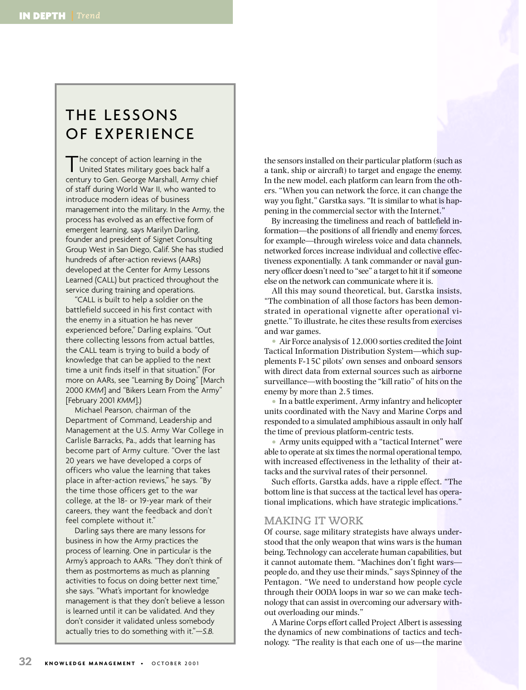# THE LESSONS OF EXPERIENCE

The concept of action learning in the<br>United States military goes back half a century to Gen. George Marshall, Army chief of staff during World War II, who wanted to introduce modern ideas of business management into the military. In the Army, the process has evolved as an effective form of emergent learning, says Marilyn Darling, founder and president of Signet Consulting Group West in San Diego, Calif. She has studied hundreds of after-action reviews (AARs) developed at the Center for Army Lessons Learned (CALL) but practiced throughout the service during training and operations.

"CALL is built to help a soldier on the battlefield succeed in his first contact with the enemy in a situation he has never experienced before," Darling explains. "Out there collecting lessons from actual battles, the CALL team is trying to build a body of knowledge that can be applied to the next time a unit finds itself in that situation." (For more on AARs, see "Learning By Doing" [March 2000 *KMM*] and "Bikers Learn From the Army" [February 2001 *KMM*].)

Michael Pearson, chairman of the Department of Command, Leadership and Management at the U.S. Army War College in Carlisle Barracks, Pa., adds that learning has become part of Army culture. "Over the last 20 years we have developed a corps of officers who value the learning that takes place in after-action reviews," he says. "By the time those officers get to the war college, at the 18- or 19-year mark of their careers, they want the feedback and don't feel complete without it."

Darling says there are many lessons for business in how the Army practices the process of learning. One in particular is the Army's approach to AARs. "They don't think of them as postmortems as much as planning activities to focus on doing better next time," she says. "What's important for knowledge management is that they don't believe a lesson is learned until it can be validated. And they don't consider it validated unless somebody actually tries to do something with it."*—S.B.*

the sensors installed on their particular platform (such as a tank, ship or aircraft) to target and engage the enemy. In the new model, each platform can learn from the others. "When you can network the force, it can change the way you fight," Garstka says. "It is similar to what is happening in the commercial sector with the Internet."

By increasing the timeliness and reach of battlefield information—the positions of all friendly and enemy forces, for example—through wireless voice and data channels, networked forces increase individual and collective effectiveness exponentially. A tank commander or naval gunnery officer doesn't need to "see" a target to hit it if someone else on the network can communicate where it is.

All this may sound theoretical, but, Garstka insists, "The combination of all those factors has been demonstrated in operational vignette after operational vignette." To illustrate, he cites these results from exercises and war games.

• Air Force analysis of 12,000 sorties credited the Joint Tactical Information Distribution System—which supplements F-15C pilots' own senses and onboard sensors with direct data from external sources such as airborne surveillance—with boosting the "kill ratio" of hits on the enemy by more than 2.5 times.

• In a battle experiment, Army infantry and helicopter units coordinated with the Navy and Marine Corps and responded to a simulated amphibious assault in only half the time of previous platform-centric tests.

• Army units equipped with a "tactical Internet" were able to operate at six times the normal operational tempo, with increased effectiveness in the lethality of their attacks and the survival rates of their personnel.

Such efforts, Garstka adds, have a ripple effect. "The bottom line is that success at the tactical level has operational implications, which have strategic implications."

#### **MAKING IT WORK**

Of course, sage military strategists have always understood that the only weapon that wins wars is the human being. Technology can accelerate human capabilities, but it cannot automate them. "Machines don't fight wars people do, and they use their minds," says Spinney of the Pentagon. "We need to understand how people cycle through their OODA loops in war so we can make technology that can assist in overcoming our adversary without overloading our minds."

A Marine Corps effort called Project Albert is assessing the dynamics of new combinations of tactics and technology. "The reality is that each one of us—the marine